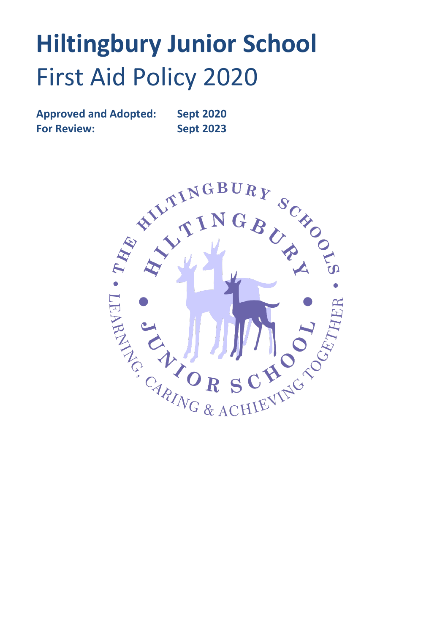# **Hiltingbury Junior School** First Aid Policy 2020

**Approved and Adopted: Sept 2020 For Review: Sept 2023**

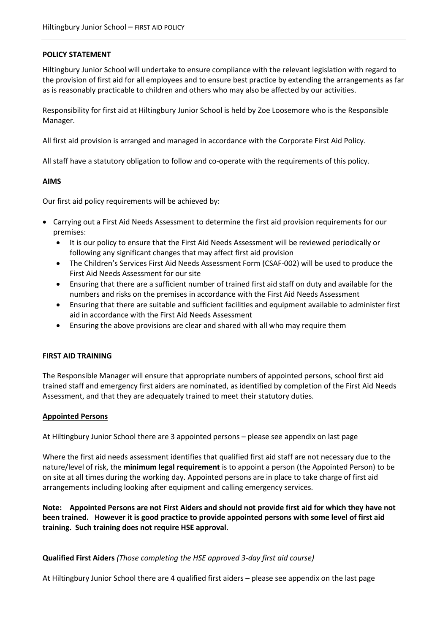### **POLICY STATEMENT**

Hiltingbury Junior School will undertake to ensure compliance with the relevant legislation with regard to the provision of first aid for all employees and to ensure best practice by extending the arrangements as far as is reasonably practicable to children and others who may also be affected by our activities.

Responsibility for first aid at Hiltingbury Junior School is held by Zoe Loosemore who is the Responsible Manager.

All first aid provision is arranged and managed in accordance with the Corporate First Aid Policy.

All staff have a statutory obligation to follow and co-operate with the requirements of this policy.

#### **AIMS**

Our first aid policy requirements will be achieved by:

- Carrying out a First Aid Needs Assessment to determine the first aid provision requirements for our premises:
	- It is our policy to ensure that the First Aid Needs Assessment will be reviewed periodically or following any significant changes that may affect first aid provision
	- The Children's Services First Aid Needs Assessment Form (CSAF-002) will be used to produce the First Aid Needs Assessment for our site
	- Ensuring that there are a sufficient number of trained first aid staff on duty and available for the numbers and risks on the premises in accordance with the First Aid Needs Assessment
	- Ensuring that there are suitable and sufficient facilities and equipment available to administer first aid in accordance with the First Aid Needs Assessment
	- Ensuring the above provisions are clear and shared with all who may require them

#### **FIRST AID TRAINING**

The Responsible Manager will ensure that appropriate numbers of appointed persons, school first aid trained staff and emergency first aiders are nominated, as identified by completion of the First Aid Needs Assessment, and that they are adequately trained to meet their statutory duties.

#### **Appointed Persons**

At Hiltingbury Junior School there are 3 appointed persons – please see appendix on last page

Where the first aid needs assessment identifies that qualified first aid staff are not necessary due to the nature/level of risk, the **minimum legal requirement** is to appoint a person (the Appointed Person) to be on site at all times during the working day. Appointed persons are in place to take charge of first aid arrangements including looking after equipment and calling emergency services.

**Note: Appointed Persons are not First Aiders and should not provide first aid for which they have not been trained. However it is good practice to provide appointed persons with some level of first aid training. Such training does not require HSE approval.**

#### **Qualified First Aiders** *(Those completing the HSE approved 3-day first aid course)*

At Hiltingbury Junior School there are 4 qualified first aiders – please see appendix on the last page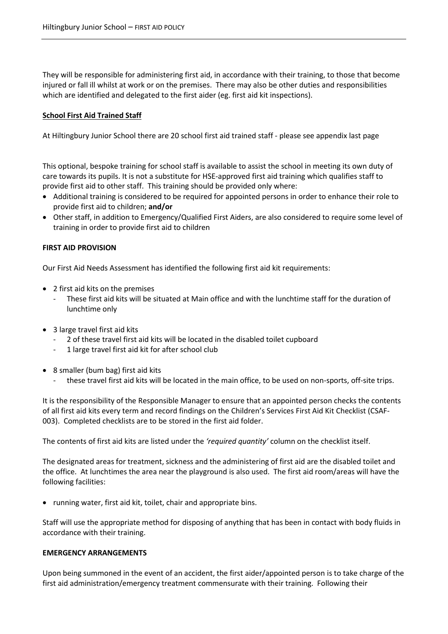They will be responsible for administering first aid, in accordance with their training, to those that become injured or fall ill whilst at work or on the premises. There may also be other duties and responsibilities which are identified and delegated to the first aider (eg. first aid kit inspections).

#### **School First Aid Trained Staff**

At Hiltingbury Junior School there are 20 school first aid trained staff - please see appendix last page

This optional, bespoke training for school staff is available to assist the school in meeting its own duty of care towards its pupils. It is not a substitute for HSE-approved first aid training which qualifies staff to provide first aid to other staff. This training should be provided only where:

- Additional training is considered to be required for appointed persons in order to enhance their role to provide first aid to children; **and/or**
- Other staff, in addition to Emergency/Qualified First Aiders, are also considered to require some level of training in order to provide first aid to children

#### **FIRST AID PROVISION**

Our First Aid Needs Assessment has identified the following first aid kit requirements:

- 2 first aid kits on the premises
	- These first aid kits will be situated at Main office and with the lunchtime staff for the duration of lunchtime only
- 3 large travel first aid kits
	- 2 of these travel first aid kits will be located in the disabled toilet cupboard
	- 1 large travel first aid kit for after school club
- 8 smaller (bum bag) first aid kits
	- these travel first aid kits will be located in the main office, to be used on non-sports, off-site trips.

It is the responsibility of the Responsible Manager to ensure that an appointed person checks the contents of all first aid kits every term and record findings on the Children's Services First Aid Kit Checklist (CSAF-003). Completed checklists are to be stored in the first aid folder.

The contents of first aid kits are listed under the *'required quantity'* column on the checklist itself.

The designated areas for treatment, sickness and the administering of first aid are the disabled toilet and the office. At lunchtimes the area near the playground is also used. The first aid room/areas will have the following facilities:

• running water, first aid kit, toilet, chair and appropriate bins.

Staff will use the appropriate method for disposing of anything that has been in contact with body fluids in accordance with their training.

#### **EMERGENCY ARRANGEMENTS**

Upon being summoned in the event of an accident, the first aider/appointed person is to take charge of the first aid administration/emergency treatment commensurate with their training. Following their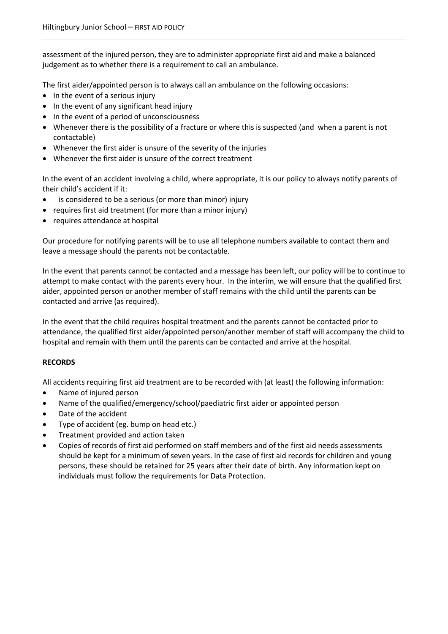assessment of the injured person, they are to administer appropriate first aid and make a balanced judgement as to whether there is a requirement to call an ambulance.

The first aider/appointed person is to always call an ambulance on the following occasions:

- In the event of a serious injury
- In the event of any significant head injury
- In the event of a period of unconsciousness
- Whenever there is the possibility of a fracture or where this is suspected (and when a parent is not contactable)
- Whenever the first aider is unsure of the severity of the injuries
- Whenever the first aider is unsure of the correct treatment

In the event of an accident involving a child, where appropriate, it is our policy to always notify parents of their child's accident if it:

- is considered to be a serious (or more than minor) injury
- requires first aid treatment (for more than a minor injury)
- requires attendance at hospital

Our procedure for notifying parents will be to use all telephone numbers available to contact them and leave a message should the parents not be contactable.

In the event that parents cannot be contacted and a message has been left, our policy will be to continue to attempt to make contact with the parents every hour. In the interim, we will ensure that the qualified first aider, appointed person or another member of staff remains with the child until the parents can be contacted and arrive (as required).

In the event that the child requires hospital treatment and the parents cannot be contacted prior to attendance, the qualified first aider/appointed person/another member of staff will accompany the child to hospital and remain with them until the parents can be contacted and arrive at the hospital.

## **RECORDS**

All accidents requiring first aid treatment are to be recorded with (at least) the following information:

- Name of injured person
- Name of the qualified/emergency/school/paediatric first aider or appointed person
- Date of the accident
- Type of accident (eg. bump on head etc.)
- Treatment provided and action taken
- Copies of records of first aid performed on staff members and of the first aid needs assessments should be kept for a minimum of seven years. In the case of first aid records for children and young persons, these should be retained for 25 years after their date of birth. Any information kept on individuals must follow the requirements for Data Protection.